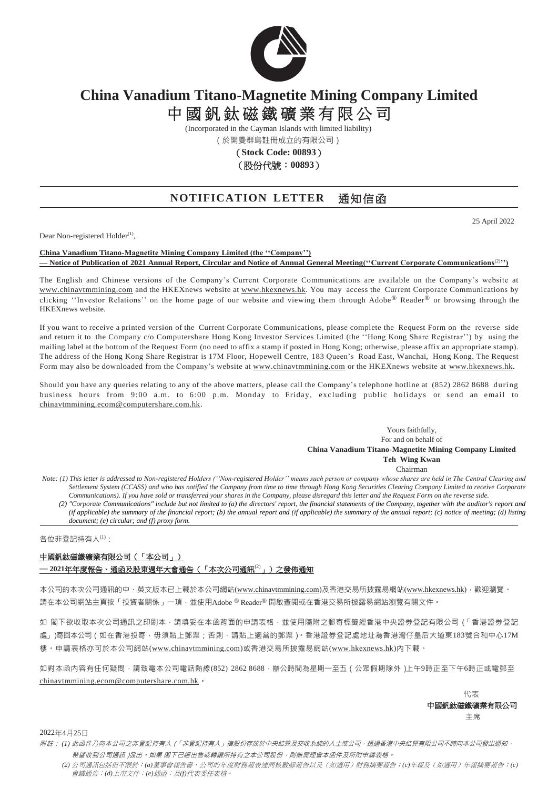

# **China Vanadium Titano-Magnetite Mining Company Limited** 中國釩鈦磁鐵礦業有限公司

(Incorporated in the Cayman Islands with limited liability)

(於開曼群島註冊成立的有限公司)

(**Stock Code: 00893**)

(股份代號:**00893**)

# **NOTIFICATION LETTER** 通知信函

25 April 2022

Dear Non-registered Holder<sup>(1)</sup>,

### **China Vanadium Titano-Magnetite Mining Company Limited (the ''Company'') — Notice of Publication of 2021 Annual Report, Circular and Notice of Annual General Meeting(''Current Corporate Communications**(2)**'')**

The English and Chinese versions of the Company's Current Corporate Communications are available on the Company's website at [www.chinavtmmining.com](http://www.chinavtmmining.com/) and the HKEXnews website a[t www.hkexnews.hk.](http://www.hkexnews.hk/) You may access the Current Corporate Communications by clicking ''Investor Relations'' on the home page of our website and viewing them through Adobe® Reader® or browsing through the HKEXnews website.

If you want to receive a printed version of the Current Corporate Communications, please complete the Request Form on the reverse side and return it to the Company c/o Computershare Hong Kong Investor Services Limited (the ''Hong Kong Share Registrar'') by using the mailing label at the bottom of the Request Form (no need to affix a stamp if posted in Hong Kong; otherwise, please affix an appropriate stamp). The address of the Hong Kong Share Registrar is 17M Floor, Hopewell Centre, 183 Queen's Road East, Wanchai, Hong Kong. The Request Form may also be downloaded from the Company's website at [www.chinavtmmining.com](http://www.chinavtmmining.com/) or the HKEXnews website at [www.hkexnews.hk.](http://www.hkexnews.hk/)

Should you have any queries relating to any of the above matters, please call the Company's telephone hotline at (852) 2862 8688 during business hours from 9:00 a.m. to 6:00 p.m. Monday to Friday, excluding public holidays or send an email to [chinavtmmining.ecom@computershare.com.hk.](mailto:chinavtmmining.ecom@computershare.com.hk)

> Yours faithfully, For and on behalf of **China Vanadium Titano-Magnetite Mining Company Limited Teh Wing Kwan** Chairman

*Note: (1) This letter is addressed to Non-registered Holders (''Non-registered Holder'' means such person or company whose shares are held in The Central Clearing and Settlement System (CCASS) and who has notified the Company from time to time through Hong Kong Securities Clearing Company Limited to receive Corporate Communications). If you have sold or transferred your shares in the Company, please disregard this letter and the Request Form on the reverse side.*

*(2) "Corporate Communications" include but not limited to (a) the directors' report, the financial statements of the Company, together with the auditor's report and (if applicable) the summary of the financial report; (b) the annual report and (if applicable) the summary of the annual report; (c) notice of meeting; (d) listing document; (e) circular; and (f) proxy form.*

## 各位非登記持有人(1):

## 中國釩鈦磁鐵礦業有限公司(「本公司」) **— 2021**年年度報告、通函及股東週年大會通告(「本次公司通訊(2)」)之發佈通知

本公司的本次公司通訊的中、英文版本已上載於本公司網站(www.chinavtmmining.com)及香港交易所披露易網站(www.hkexnews.hk), 截迎瀏覽。 請在本公司網站主頁按「投資者關係」一項,並使用Adobe ® Reader® 開啟查閱或在香港交易所披露易網站瀏覽有關文件。

如 閣下欲收取本次公司通訊之印刷本,請填妥在本函背面的申請表格,並使用隨附之郵寄標籤經香港中央證券登記有限公司(「香港證券登記 處」)寄回本公司(如在香港投寄·毋須貼上郵票;否則,請貼上適當的郵票)。香港證券登記處地址為香港灣仔皇后大道東183號合和中心17M 樓。申請表格亦可於本公司網站(www.chinavtmmining.com)或香港交易所披露易網站(www.hkexnews.hk)內下載。

如對本函內容有任何疑問,請致電本公司電話熱線(852) 2862 8688,辦公時間為星期一至五 (公眾假期除外 )上午9時正至下午6時正或電郵至 [chinavtmmining.ecom@computershare.com.hk](mailto:chinavtmmining.ecom@computershare.com.hk)。

> 代表 中國釩鈦磁鐵礦業有限公司

> > 主席

2022年4月25日

。<br>*附註: (1) 此函件乃向本公司之非登記持有人(「非登記持有人」指股份存放於中央結算及交收系統的人士或公司,透過香港中央結算有限公司不時向本公司發出通知,* 希望收到公司通訊)發出。如果 閣下已經出售或轉讓所持有之本公司股份,則無需理會本函件及所附申請表格。

*(2)* 公司通訊包括但不限於:*(a)*董事會報告書、公司的年度財務報表連同核數師報告以及(如適用)財務摘要報告;*(c)*年報及(如適用)年報摘要報告;*(c)* 會議通告;*(d)*上市文件;*(e)*通函;及*(f)*代表委任表格。